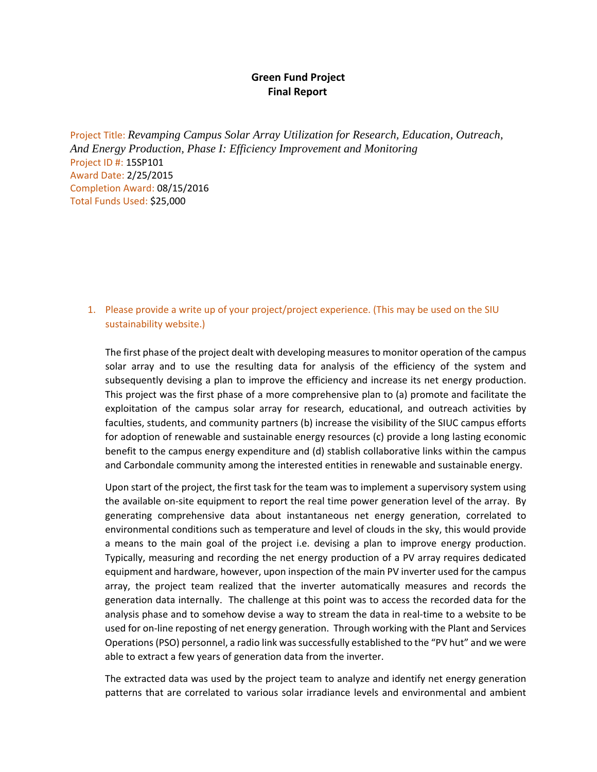## **Green Fund Project Final Report**

Project Title: *Revamping Campus Solar Array Utilization for Research, Education, Outreach, And Energy Production, Phase I: Efficiency Improvement and Monitoring* Project ID #: 15SP101 Award Date: 2/25/2015 Completion Award: 08/15/2016 Total Funds Used: \$25,000

## 1. Please provide a write up of your project/project experience. (This may be used on the SIU sustainability website.)

The first phase of the project dealt with developing measuresto monitor operation of the campus solar array and to use the resulting data for analysis of the efficiency of the system and subsequently devising a plan to improve the efficiency and increase its net energy production. This project was the first phase of a more comprehensive plan to (a) promote and facilitate the exploitation of the campus solar array for research, educational, and outreach activities by faculties, students, and community partners (b) increase the visibility of the SIUC campus efforts for adoption of renewable and sustainable energy resources (c) provide a long lasting economic benefit to the campus energy expenditure and (d) stablish collaborative links within the campus and Carbondale community among the interested entities in renewable and sustainable energy.

Upon start of the project, the first task for the team was to implement a supervisory system using the available on‐site equipment to report the real time power generation level of the array. By generating comprehensive data about instantaneous net energy generation, correlated to environmental conditions such as temperature and level of clouds in the sky, this would provide a means to the main goal of the project i.e. devising a plan to improve energy production. Typically, measuring and recording the net energy production of a PV array requires dedicated equipment and hardware, however, upon inspection of the main PV inverter used for the campus array, the project team realized that the inverter automatically measures and records the generation data internally. The challenge at this point was to access the recorded data for the analysis phase and to somehow devise a way to stream the data in real‐time to a website to be used for on‐line reposting of net energy generation. Through working with the Plant and Services Operations (PSO) personnel, a radio link was successfully established to the "PV hut" and we were able to extract a few years of generation data from the inverter.

The extracted data was used by the project team to analyze and identify net energy generation patterns that are correlated to various solar irradiance levels and environmental and ambient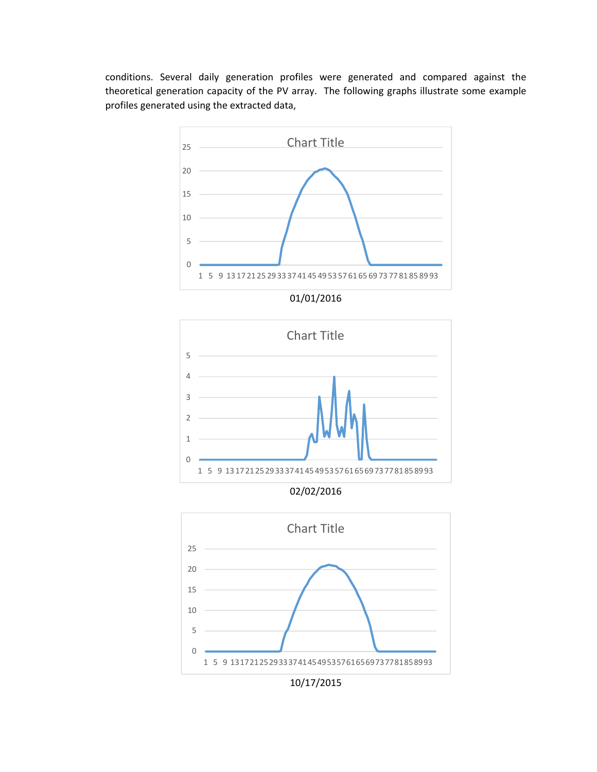conditions. Several daily generation profiles were generated and compared against the theoretical generation capacity of the PV array. The following graphs illustrate some example profiles generated using the extracted data,



1 5 9 13 17 21 25 29 33 37 41 45 49 53 57 61 65 69 73 77 81 85 89 93

0

02/02/2016



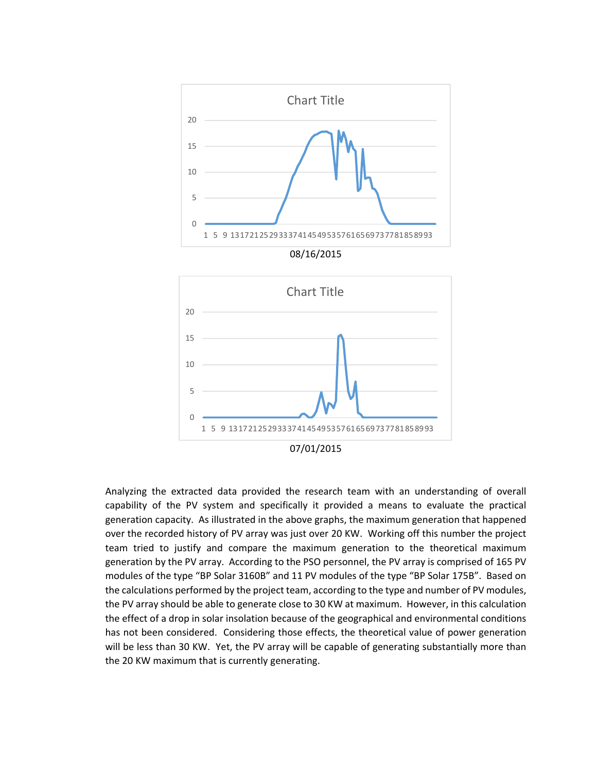

Analyzing the extracted data provided the research team with an understanding of overall capability of the PV system and specifically it provided a means to evaluate the practical generation capacity. As illustrated in the above graphs, the maximum generation that happened over the recorded history of PV array was just over 20 KW. Working off this number the project team tried to justify and compare the maximum generation to the theoretical maximum generation by the PV array. According to the PSO personnel, the PV array is comprised of 165 PV modules of the type "BP Solar 3160B" and 11 PV modules of the type "BP Solar 175B". Based on the calculations performed by the project team, according to the type and number of PV modules, the PV array should be able to generate close to 30 KW at maximum. However, in this calculation the effect of a drop in solar insolation because of the geographical and environmental conditions has not been considered. Considering those effects, the theoretical value of power generation will be less than 30 KW. Yet, the PV array will be capable of generating substantially more than the 20 KW maximum that is currently generating.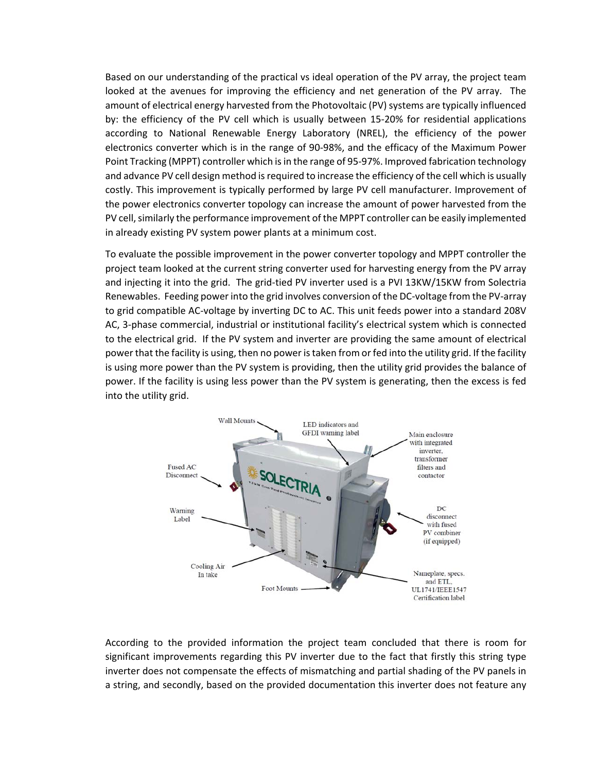Based on our understanding of the practical vs ideal operation of the PV array, the project team looked at the avenues for improving the efficiency and net generation of the PV array. The amount of electrical energy harvested from the Photovoltaic (PV) systems are typically influenced by: the efficiency of the PV cell which is usually between 15‐20% for residential applications according to National Renewable Energy Laboratory (NREL), the efficiency of the power electronics converter which is in the range of 90‐98%, and the efficacy of the Maximum Power Point Tracking (MPPT) controller which is in the range of 95-97%. Improved fabrication technology and advance PV cell design method is required to increase the efficiency of the cell which is usually costly. This improvement is typically performed by large PV cell manufacturer. Improvement of the power electronics converter topology can increase the amount of power harvested from the PV cell, similarly the performance improvement of the MPPT controller can be easily implemented in already existing PV system power plants at a minimum cost.

To evaluate the possible improvement in the power converter topology and MPPT controller the project team looked at the current string converter used for harvesting energy from the PV array and injecting it into the grid. The grid-tied PV inverter used is a PVI 13KW/15KW from Solectria Renewables. Feeding power into the grid involves conversion of the DC‐voltage from the PV‐array to grid compatible AC‐voltage by inverting DC to AC. This unit feeds power into a standard 208V AC, 3‐phase commercial, industrial or institutional facility's electrical system which is connected to the electrical grid. If the PV system and inverter are providing the same amount of electrical power that the facility is using, then no power istaken from or fed into the utility grid. If the facility is using more power than the PV system is providing, then the utility grid provides the balance of power. If the facility is using less power than the PV system is generating, then the excess is fed into the utility grid.



According to the provided information the project team concluded that there is room for significant improvements regarding this PV inverter due to the fact that firstly this string type inverter does not compensate the effects of mismatching and partial shading of the PV panels in a string, and secondly, based on the provided documentation this inverter does not feature any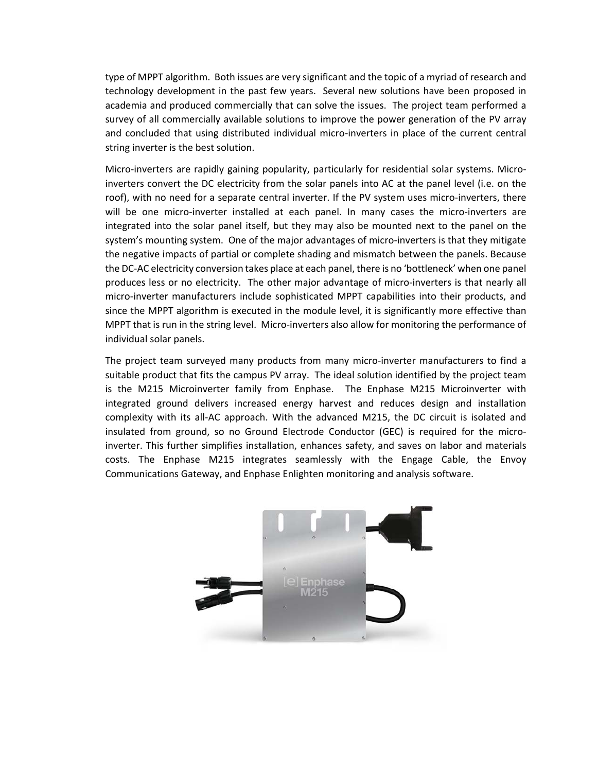type of MPPT algorithm. Both issues are very significant and the topic of a myriad of research and technology development in the past few years. Several new solutions have been proposed in academia and produced commercially that can solve the issues. The project team performed a survey of all commercially available solutions to improve the power generation of the PV array and concluded that using distributed individual micro-inverters in place of the current central string inverter is the best solution.

Micro-inverters are rapidly gaining popularity, particularly for residential solar systems. Microinverters convert the DC electricity from the solar panels into AC at the panel level (i.e. on the roof), with no need for a separate central inverter. If the PV system uses micro-inverters, there will be one micro-inverter installed at each panel. In many cases the micro-inverters are integrated into the solar panel itself, but they may also be mounted next to the panel on the system's mounting system. One of the major advantages of micro-inverters is that they mitigate the negative impacts of partial or complete shading and mismatch between the panels. Because the DC‐AC electricity conversion takes place at each panel, there is no 'bottleneck' when one panel produces less or no electricity. The other major advantage of micro‐inverters is that nearly all micro‐inverter manufacturers include sophisticated MPPT capabilities into their products, and since the MPPT algorithm is executed in the module level, it is significantly more effective than MPPT that is run in the string level. Micro-inverters also allow for monitoring the performance of individual solar panels.

The project team surveyed many products from many micro-inverter manufacturers to find a suitable product that fits the campus PV array. The ideal solution identified by the project team is the M215 Microinverter family from Enphase. The Enphase M215 Microinverter with integrated ground delivers increased energy harvest and reduces design and installation complexity with its all‐AC approach. With the advanced M215, the DC circuit is isolated and insulated from ground, so no Ground Electrode Conductor (GEC) is required for the micro‐ inverter. This further simplifies installation, enhances safety, and saves on labor and materials costs. The Enphase M215 integrates seamlessly with the Engage Cable, the Envoy Communications Gateway, and Enphase Enlighten monitoring and analysis software.

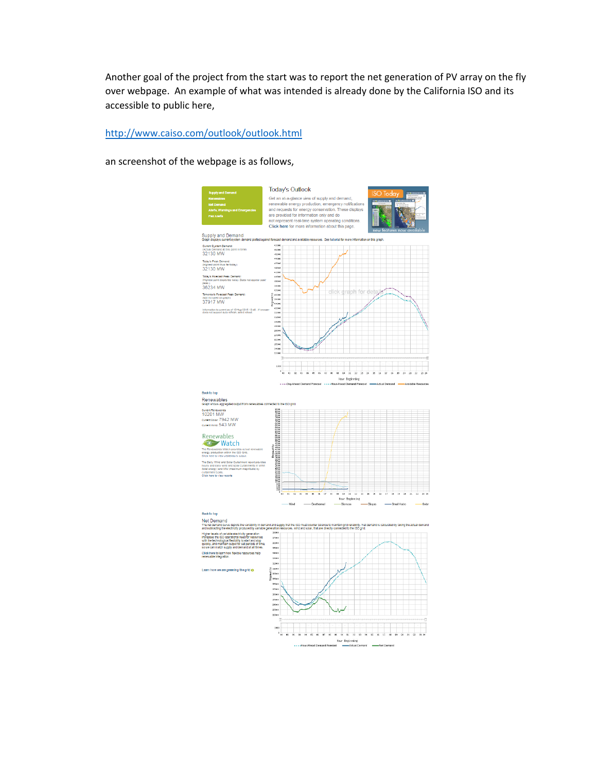Another goal of the project from the start was to report the net generation of PV array on the fly over webpage. An example of what was intended is already done by the California ISO and its accessible to public here,

## http://www.caiso.com/outlook/outlook.html

an screenshot of the webpage is as follows,



.<br>Maria Net Demand

 $\cdots$  + Hour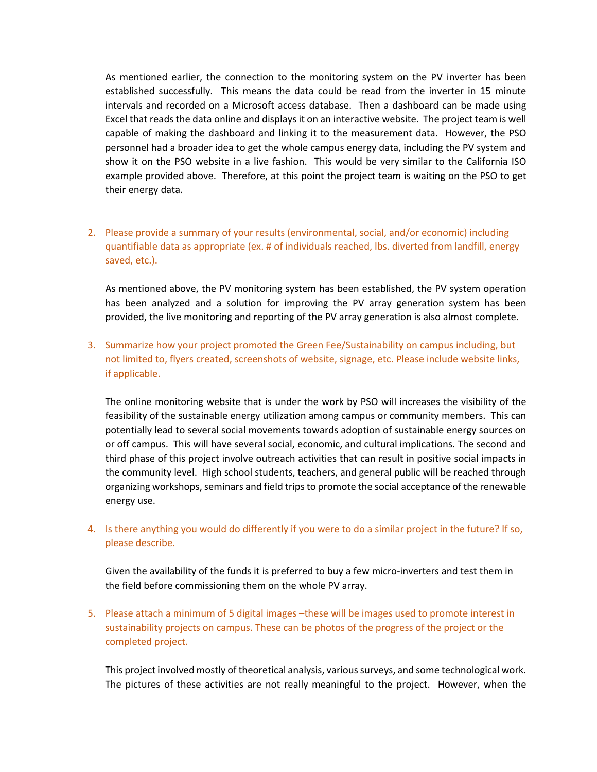As mentioned earlier, the connection to the monitoring system on the PV inverter has been established successfully. This means the data could be read from the inverter in 15 minute intervals and recorded on a Microsoft access database. Then a dashboard can be made using Excel that reads the data online and displays it on an interactive website. The project team is well capable of making the dashboard and linking it to the measurement data. However, the PSO personnel had a broader idea to get the whole campus energy data, including the PV system and show it on the PSO website in a live fashion. This would be very similar to the California ISO example provided above. Therefore, at this point the project team is waiting on the PSO to get their energy data.

2. Please provide a summary of your results (environmental, social, and/or economic) including quantifiable data as appropriate (ex. # of individuals reached, lbs. diverted from landfill, energy saved, etc.).

As mentioned above, the PV monitoring system has been established, the PV system operation has been analyzed and a solution for improving the PV array generation system has been provided, the live monitoring and reporting of the PV array generation is also almost complete.

3. Summarize how your project promoted the Green Fee/Sustainability on campus including, but not limited to, flyers created, screenshots of website, signage, etc. Please include website links, if applicable.

The online monitoring website that is under the work by PSO will increases the visibility of the feasibility of the sustainable energy utilization among campus or community members. This can potentially lead to several social movements towards adoption of sustainable energy sources on or off campus. This will have several social, economic, and cultural implications. The second and third phase of this project involve outreach activities that can result in positive social impacts in the community level. High school students, teachers, and general public will be reached through organizing workshops, seminars and field trips to promote the social acceptance of the renewable energy use.

## 4. Is there anything you would do differently if you were to do a similar project in the future? If so, please describe.

Given the availability of the funds it is preferred to buy a few micro-inverters and test them in the field before commissioning them on the whole PV array.

5. Please attach a minimum of 5 digital images –these will be images used to promote interest in sustainability projects on campus. These can be photos of the progress of the project or the completed project.

This project involved mostly of theoretical analysis, varioussurveys, and some technological work. The pictures of these activities are not really meaningful to the project. However, when the